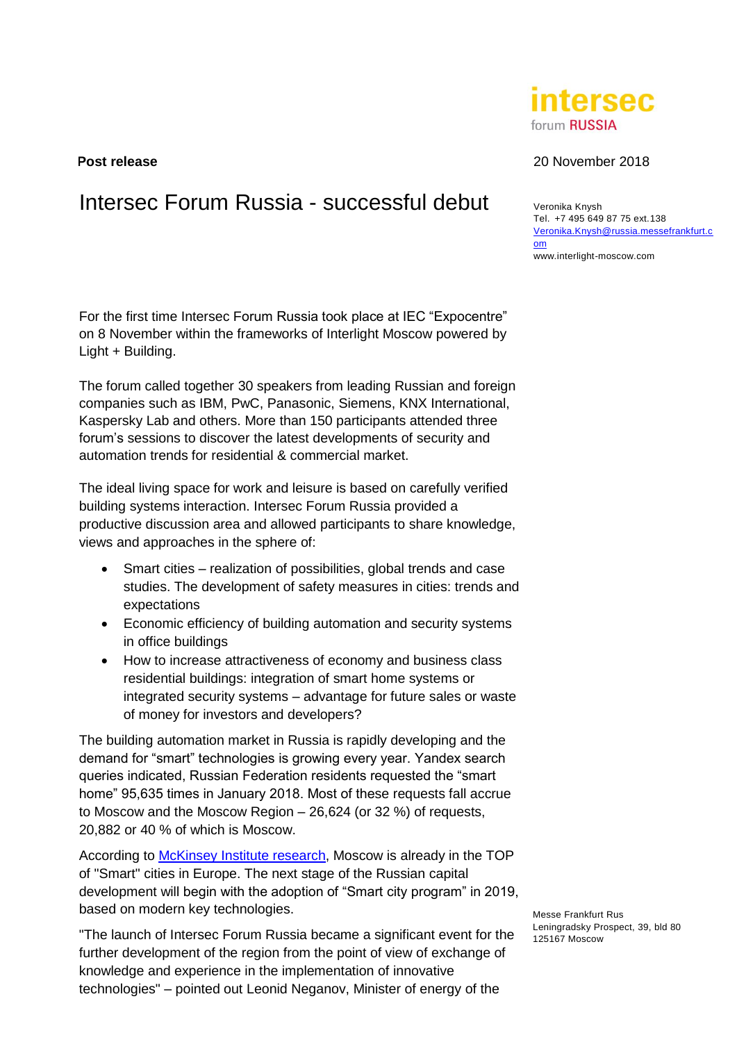# Intersec Forum Russia - successful debut veronika Knysh

For the first time Intersec Forum Russia took place at IEC "Expocentre" on 8 November within the frameworks of Interlight Moscow powered by Light + Building.

The forum called together 30 speakers from leading Russian and foreign companies such as IBM, PwC, Panasonic, Siemens, KNX International, Kaspersky Lab and others. More than 150 participants attended three forum's sessions to discover the latest developments of security and automation trends for residential & commercial market.

The ideal living space for work and leisure is based on carefully verified building systems interaction. Intersec Forum Russia provided a productive discussion area and allowed participants to share knowledge, views and approaches in the sphere of:

- Smart cities realization of possibilities, global trends and case studies. The development of safety measures in cities: trends and expectations
- Economic efficiency of building automation and security systems in office buildings
- How to increase attractiveness of economy and business class residential buildings: integration of smart home systems or integrated security systems – advantage for future sales or waste of money for investors and developers?

The building automation market in Russia is rapidly developing and the demand for "smart" technologies is growing every year. Yandex search queries indicated, Russian Federation residents requested the "smart home" 95,635 times in January 2018. Most of these requests fall accrue to Moscow and the Moscow Region – 26,624 (or 32 %) of requests, 20,882 or 40 % of which is Moscow.

According to **McKinsey Institute research**, Moscow is already in the TOP of "Smart" cities in Europe. The next stage of the Russian capital development will begin with the adoption of "Smart city program" in 2019, based on modern key technologies.

"The launch of Intersec Forum Russia became a significant event for the further development of the region from the point of view of exchange of knowledge and experience in the implementation of innovative technologies" – pointed out Leonid Neganov, Minister of energy of the

**Post release** 20 November 2018

Tel. +7 495 649 87 75 ext.138 [Veronika.Knysh@russia.messefrankfurt.c](mailto:Veronika.Knysh@russia.messefrankfurt.com) [om](mailto:Veronika.Knysh@russia.messefrankfurt.com) www.interlight-moscow.com

Messe Frankfurt Rus Leningradsky Prospect, 39, bld 80 125167 Moscow